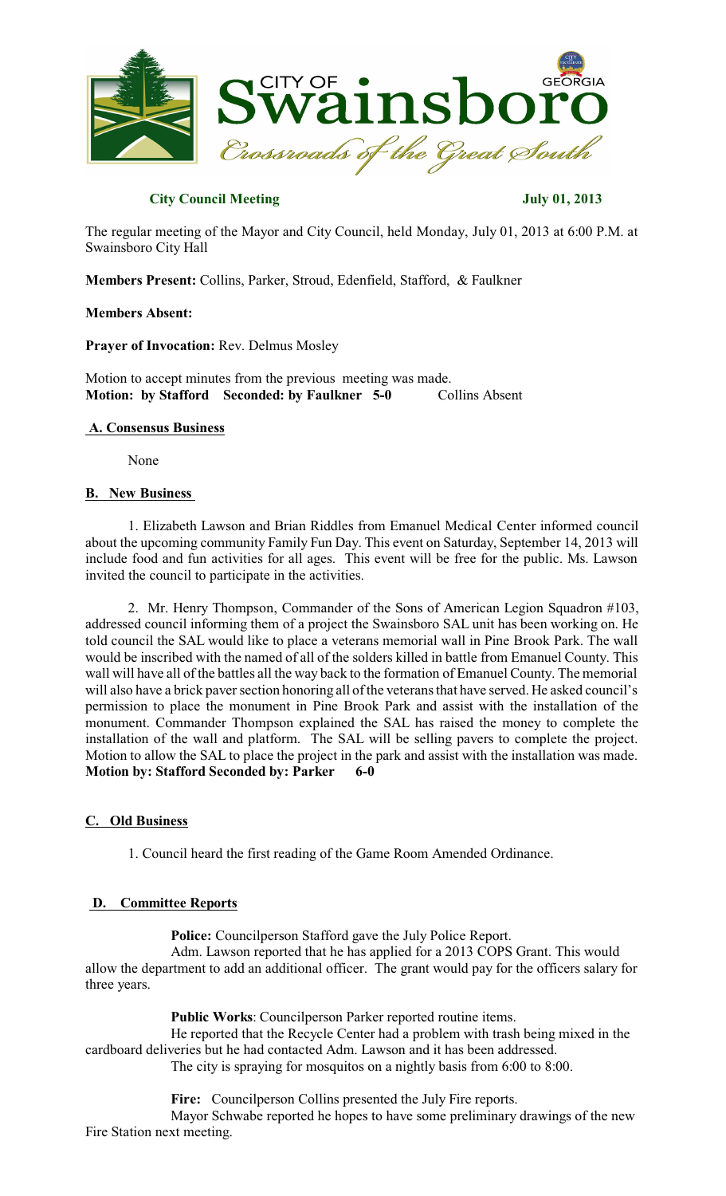

# **City Council Meeting July 01, 2013**

The regular meeting of the Mayor and City Council, held Monday, July 01, 2013 at 6:00 P.M. at Swainsboro City Hall

**Members Present:** Collins, Parker, Stroud, Edenfield, Stafford, & Faulkner

## **Members Absent:**

**Prayer of Invocation:** Rev. Delmus Mosley

Motion to accept minutes from the previous meeting was made. **Motion: by Stafford Seconded: by Faulkner 5-0** Collins Absent

# **A. Consensus Business**

None

## **B. New Business**

1. Elizabeth Lawson and Brian Riddles from Emanuel Medical Center informed council about the upcoming community Family Fun Day. This event on Saturday, September 14, 2013 will include food and fun activities for all ages. This event will be free for the public. Ms. Lawson invited the council to participate in the activities.

2. Mr. Henry Thompson, Commander of the Sons of American Legion Squadron #103, addressed council informing them of a project the Swainsboro SAL unit has been working on. He told council the SAL would like to place a veterans memorial wall in Pine Brook Park. The wall would be inscribed with the named of all of the solders killed in battle from Emanuel County. This wall will have all of the battles all the way back to the formation of Emanuel County. The memorial will also have a brick paver section honoring all of the veterans that have served. He asked council's permission to place the monument in Pine Brook Park and assist with the installation of the monument. Commander Thompson explained the SAL has raised the money to complete the installation of the wall and platform. The SAL will be selling pavers to complete the project. Motion to allow the SAL to place the project in the park and assist with the installation was made. **Motion by: Stafford Seconded by: Parker 6-0** 

## **C. Old Business**

1. Council heard the first reading of the Game Room Amended Ordinance.

## **D. Committee Reports**

**Police:** Councilperson Stafford gave the July Police Report.

Adm. Lawson reported that he has applied for a 2013 COPS Grant. This would allow the department to add an additional officer. The grant would pay for the officers salary for three years.

**Public Works**: Councilperson Parker reported routine items.

He reported that the Recycle Center had a problem with trash being mixed in the cardboard deliveries but he had contacted Adm. Lawson and it has been addressed.

The city is spraying for mosquitos on a nightly basis from 6:00 to 8:00.

**Fire:** Councilperson Collins presented the July Fire reports. Mayor Schwabe reported he hopes to have some preliminary drawings of the new Fire Station next meeting.